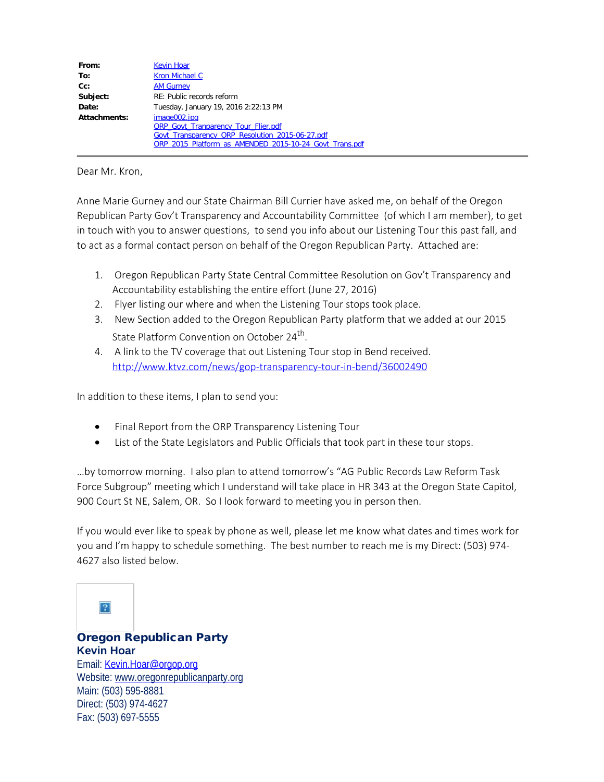| From:        | <b>Kevin Hoar</b>                                      |
|--------------|--------------------------------------------------------|
| To:          | <b>Kron Michael C</b>                                  |
| $Cc$ :       | <b>AM Gurney</b>                                       |
| Subject:     | RE: Public records reform                              |
| Date:        | Tuesday, January 19, 2016 2:22:13 PM                   |
| Attachments: | image002.jpg                                           |
|              | <b>ORP Govt Tranparency Tour Flier.pdf</b>             |
|              | Govt Transparency ORP Resolution 2015-06-27.pdf        |
|              | ORP 2015 Platform as AMENDED 2015-10-24 Govt Trans.pdf |

Dear Mr. Kron,

Anne Marie Gurney and our State Chairman Bill Currier have asked me, on behalf of the Oregon Republican Party Gov't Transparency and Accountability Committee (of which I am member), to get in touch with you to answer questions, to send you info about our Listening Tour this past fall, and to act as a formal contact person on behalf of the Oregon Republican Party. Attached are:

- 1. Oregon Republican Party State Central Committee Resolution on Gov't Transparency and Accountability establishing the entire effort (June 27, 2016)
- 2. Flyer listing our where and when the Listening Tour stops took place.
- 3. New Section added to the Oregon Republican Party platform that we added at our 2015 State Platform Convention on October 24<sup>th</sup>.
- 4. A link to the TV coverage that out Listening Tour stop in Bend received. [http://www.ktvz.com/news/gop-transparency-tour-in-bend/36002490](http://sg1link.orgop.org/wf/click?upn=CPSRJ7K22zoQNuzVq-2B-2F84FZ0TOrUxMsE8yevTVd14eB8hc1zl8XoFC7GmPwd2IPk9qBjXgp7AHRaKejqnQMKw7zFF32um1Qu-2BKhciGBySl4-3D_HDu-2BON2WuckNVJ2U1s3AlN4ee5gZtlfZ-2B4Jxg5hcNqHDmiILyQYVl0m4R1LMnPGMKDgKXRob2wp1aSn0HhhQRHNz3iMNx-2BqgNBkdknyfXXUE5YO6JWNCid9dXmDTbE3qrkZzn4Cs6b1cGIAg2-2F-2FcGkk3n2btwyDgqFEoyjQlFkc1y29DcVse11tCisbankNnLErNXorCy-2FqvpJR7GGLo3WG7IZB6-2Br-2Fp5az5ivIcX3A-3D)

In addition to these items, I plan to send you:

- Final Report from the ORP Transparency Listening Tour
- List of the State Legislators and Public Officials that took part in these tour stops.

…by tomorrow morning. I also plan to attend tomorrow's "AG Public Records Law Reform Task Force Subgroup" meeting which I understand will take place in HR 343 at the Oregon State Capitol, 900 Court St NE, Salem, OR. So I look forward to meeting you in person then.

If you would ever like to speak by phone as well, please let me know what dates and times work for you and I'm happy to schedule something. The best number to reach me is my Direct: (503) 974- 4627 also listed below.

# $|2\rangle$

#### Oregon Republican Party **Kevin Hoar**

Email: [Kevin.Hoar@orgop.org](mailto:Kevin.Hoar@orgop.org) Website: [www.oregonrepublicanparty.org](http://sg1link.orgop.org/wf/click?upn=CPSRJ7K22zoQNuzVq-2B-2F84Ln2YIDSxqedF0KnCZJ3FCAVH9UKxvatQwPY-2F-2BDKnlkq_HDu-2BON2WuckNVJ2U1s3AlN4ee5gZtlfZ-2B4Jxg5hcNqHDmiILyQYVl0m4R1LMnPGMKDgKXRob2wp1aSn0HhhQRFgaz066Hhvf-2BOjX0GDNaykyxDCPUvA6OdYXXLtSp64gny9k0dnKxkH0B5AvTQ1TDxW2Q-2Fm7F6dzi-2B-2B7NZB8Qot19xM5xf9CM7ZYZbpZZH-2BQc86ik86GAOQ-2BcSmyqv7wOZsLs2SB-2B8j85VYN6tszw4g-3D) Main: (503) 595-8881 Direct: (503) 974-4627 Fax: (503) 697-5555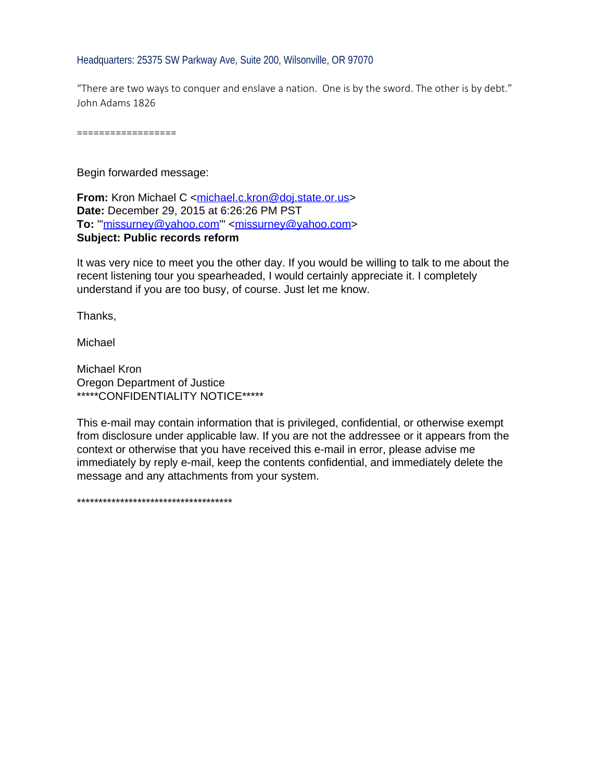Headquarters: 25375 SW Parkway Ave, Suite 200, Wilsonville, OR 97070

"There are two ways to conquer and enslave a nation. One is by the sword. The other is by debt." John Adams 1826

==================

Begin forwarded message:

**From:** Kron Michael C <[michael.c.kron@doj.state.or.us>](mailto:michael.c.kron@doj.state.or.us) **Date:** December 29, 2015 at 6:26:26 PM PST To: "missurney@yahoo.com" [<missurney@yahoo.com](mailto:missurney@yahoo.com)> **Subject: Public records reform**

It was very nice to meet you the other day. If you would be willing to talk to me about the recent listening tour you spearheaded, I would certainly appreciate it. I completely understand if you are too busy, of course. Just let me know.

Thanks,

Michael

Michael Kron Oregon Department of Justice \*\*\*\*\*CONFIDENTIALITY NOTICE\*\*\*\*\*

This e-mail may contain information that is privileged, confidential, or otherwise exempt from disclosure under applicable law. If you are not the addressee or it appears from the context or otherwise that you have received this e-mail in error, please advise me immediately by reply e-mail, keep the contents confidential, and immediately delete the message and any attachments from your system.

\*\*\*\*\*\*\*\*\*\*\*\*\*\*\*\*\*\*\*\*\*\*\*\*\*\*\*\*\*\*\*\*\*\*\*\*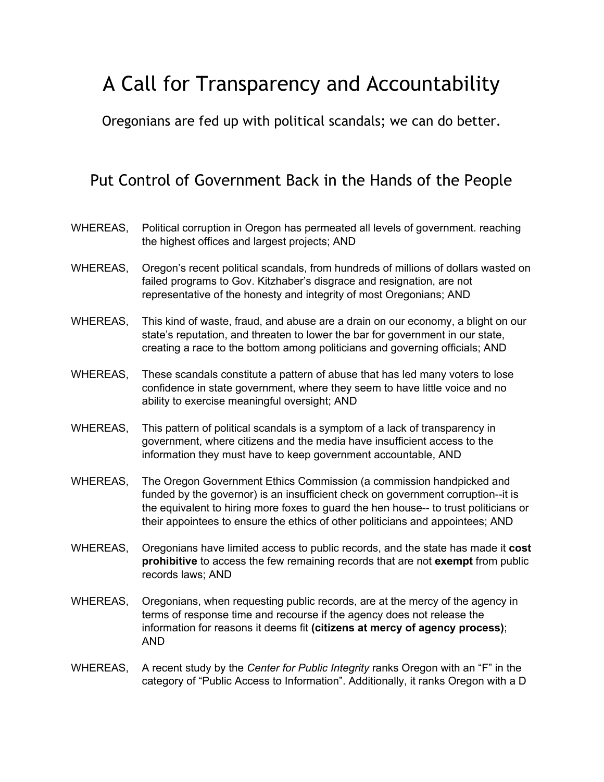# A Call for Transparency and Accountability

Oregonians are fed up with political scandals; we can do better.

# Put Control of Government Back in the Hands of the People

- WHEREAS, Political corruption in Oregon has permeated all levels of government. reaching the highest offices and largest projects; AND
- WHEREAS, Oregon's recent political scandals, from hundreds of millions of dollars wasted on failed programs to Gov. Kitzhaber's disgrace and resignation, are not representative of the honesty and integrity of most Oregonians; AND
- WHEREAS, This kind of waste, fraud, and abuse are a drain on our economy, a blight on our state's reputation, and threaten to lower the bar for government in our state, creating a race to the bottom among politicians and governing officials; AND
- WHEREAS, These scandals constitute a pattern of abuse that has led many voters to lose confidence in state government, where they seem to have little voice and no ability to exercise meaningful oversight; AND
- WHEREAS, This pattern of political scandals is a symptom of a lack of transparency in government, where citizens and the media have insufficient access to the information they must have to keep government accountable, AND
- WHEREAS, The Oregon Government Ethics Commission (a commission handpicked and funded by the governor) is an insufficient check on government corruption--it is the equivalent to hiring more foxes to quard the hen house-- to trust politicians or their appointees to ensure the ethics of other politicians and appointees; AND
- WHEREAS, Oregonians have limited access to public records, and the state has made it **cost prohibitive**to access the few remaining records that are not **exempt** from public records laws; AND
- WHEREAS, Oregonians, when requesting public records, are at the mercy of the agency in terms of response time and recourse if the agency does not release the information for reasons it deems fit **(citizens at mercy of agency process)**; AND
- WHEREAS, A recent study by the *Center for Public Integrity* ranks Oregon with an "F" in the category of "Public Access to Information". Additionally, it ranks Oregon with a D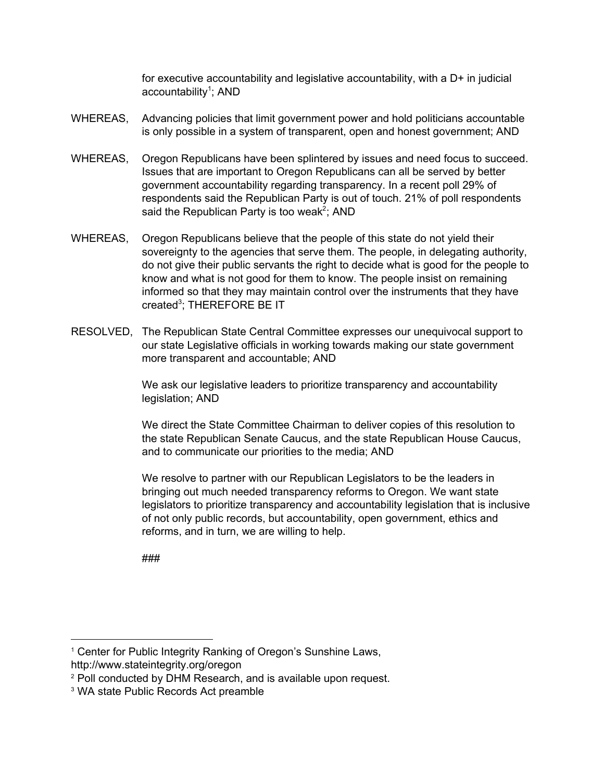for executive accountability and legislative accountability, with a D+ in judicial accountability<sup>1</sup>; AND

- WHEREAS, Advancing policies that limit government power and hold politicians accountable is only possible in a system of transparent, open and honest government; AND
- WHEREAS, Oregon Republicans have been splintered by issues and need focus to succeed. Issues that are important to Oregon Republicans can all be served by better government accountability regarding transparency. In a recent poll 29% of respondents said the Republican Party is out of touch. 21% of poll respondents said the Republican Party is too weak<sup>2</sup>; AND
- WHEREAS, Oregon Republicans believe that the people of this state do not yield their sovereignty to the agencies that serve them. The people, in delegating authority, do not give their public servants the right to decide what is good for the people to know and what is not good for them to know. The people insist on remaining informed so that they may maintain control over the instruments that they have created<sup>3</sup>; THEREFORE BE IT
- RESOLVED, The Republican State Central Committee expresses our unequivocal support to our state Legislative officials in working towards making our state government more transparent and accountable; AND

We ask our legislative leaders to prioritize transparency and accountability legislation; AND

We direct the State Committee Chairman to deliver copies of this resolution to the state Republican Senate Caucus, and the state Republican House Caucus, and to communicate our priorities to the media; AND

We resolve to partner with our Republican Legislators to be the leaders in bringing out much needed transparency reforms to Oregon. We want state legislators to prioritize transparency and accountability legislation that is inclusive of not only public records, but accountability, open government, ethics and reforms, and in turn, we are willing to help.

###

<sup>&</sup>lt;sup>1</sup> Center for Public Integrity Ranking of Oregon's Sunshine Laws, http://www.stateintegrity.org/oregon

<sup>&</sup>lt;sup>2</sup> Poll conducted by DHM Research, and is available upon request.

<sup>&</sup>lt;sup>3</sup> WA state Public Records Act preamble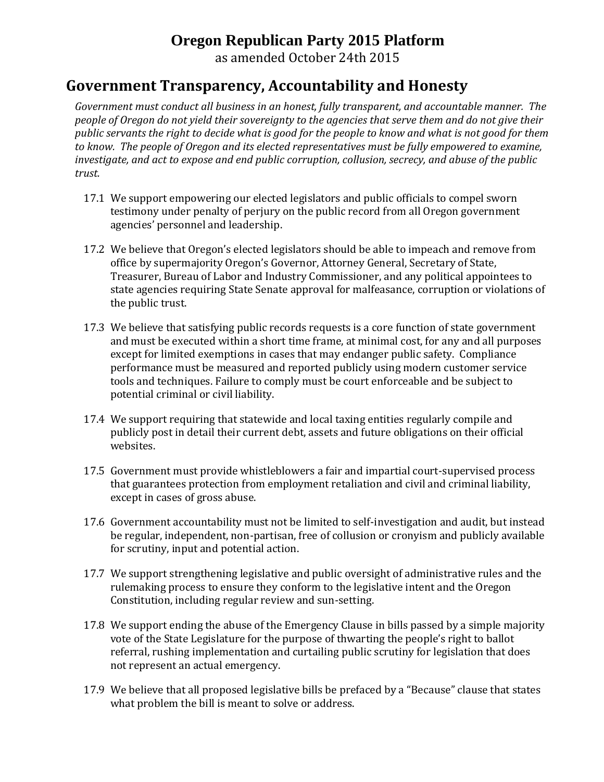# **Oregon Republican Party 2015 Platform**

as amended October 24th 2015

# **Government Transparency, Accountability and Honesty**

*Government must conduct all business in an honest, fully transparent, and accountable manner. The people of Oregon do not yield their sovereignty to the agencies that serve them and do not give their public servants the right to decide what is good for the people to know and what is not good for them to know. The people of Oregon and its elected representatives must be fully empowered to examine, investigate, and act to expose and end public corruption, collusion, secrecy, and abuse of the public trust.*

- 17.1 We support empowering our elected legislators and public officials to compel sworn testimony under penalty of perjury on the public record from all Oregon government agencies' personnel and leadership.
- 17.2 We believe that Oregon's elected legislators should be able to impeach and remove from office by supermajority Oregon's Governor, Attorney General, Secretary of State, Treasurer, Bureau of Labor and Industry Commissioner, and any political appointees to state agencies requiring State Senate approval for malfeasance, corruption or violations of the public trust.
- 17.3 We believe that satisfying public records requests is a core function of state government and must be executed within a short time frame, at minimal cost, for any and all purposes except for limited exemptions in cases that may endanger public safety. Compliance performance must be measured and reported publicly using modern customer service tools and techniques. Failure to comply must be court enforceable and be subject to potential criminal or civil liability.
- 17.4 We support requiring that statewide and local taxing entities regularly compile and publicly post in detail their current debt, assets and future obligations on their official websites.
- 17.5 Government must provide whistleblowers a fair and impartial court-supervised process that guarantees protection from employment retaliation and civil and criminal liability, except in cases of gross abuse.
- 17.6 Government accountability must not be limited to self-investigation and audit, but instead be regular, independent, non-partisan, free of collusion or cronyism and publicly available for scrutiny, input and potential action.
- 17.7 We support strengthening legislative and public oversight of administrative rules and the rulemaking process to ensure they conform to the legislative intent and the Oregon Constitution, including regular review and sun-setting.
- 17.8 We support ending the abuse of the Emergency Clause in bills passed by a simple majority vote of the State Legislature for the purpose of thwarting the people's right to ballot referral, rushing implementation and curtailing public scrutiny for legislation that does not represent an actual emergency.
- 17.9 We believe that all proposed legislative bills be prefaced by a "Because" clause that states what problem the bill is meant to solve or address.